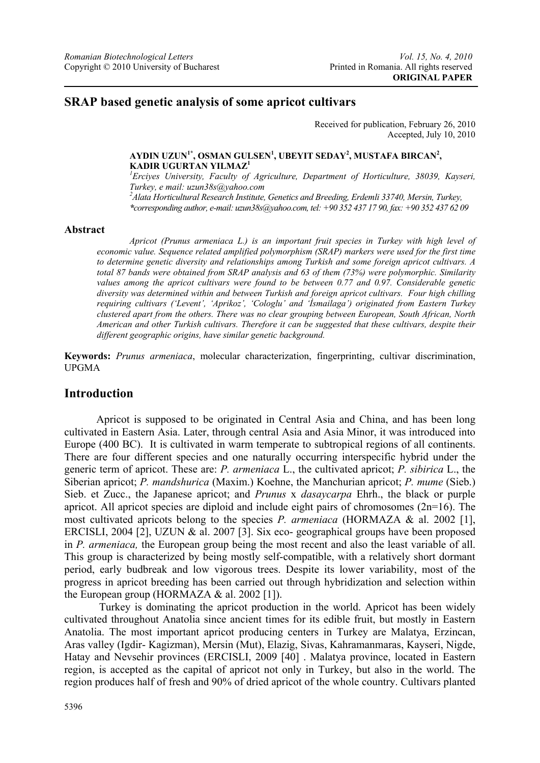# **SRAP based genetic analysis of some apricot cultivars**

Received for publication, February 26, 2010 Accepted, July 10, 2010

#### $\mathbf{A}\mathbf{Y}\mathbf{D}\mathbf{I}\mathbf{N}$   $\mathbf{U}\mathbf{Z}\mathbf{U}\mathbf{N}^{1*}$ ,  $\mathbf{OSMAN}\mathbf{GULSEN}^{1}$ ,  $\mathbf{UBEYIT}\mathbf{SEDAY}^{2}$ ,  $\mathbf{MUSTAFA}\mathbf{BIRCAN}^{2}$ , **KADIR UGURTAN YILMAZ1**

*1 Erciyes University, Faculty of Agriculture, Department of Horticulture, 38039, Kayseri, Turkey, e mail: uzun38s@yahoo.com 2 Alata Horticultural Research Institute, Genetics and Breeding, Erdemli 33740, Mersin, Turkey, \*corresponding author, e-mail: uzun38s@yahoo.com, tel: +90 352 437 17 90, fax: +90 352 437 62 09* 

#### **Abstract**

*Apricot (Prunus armeniaca L.) is an important fruit species in Turkey with high level of economic value. Sequence related amplified polymorphism (SRAP) markers were used for the first time to determine genetic diversity and relationships among Turkish and some foreign apricot cultivars. A total 87 bands were obtained from SRAP analysis and 63 of them (73%) were polymorphic. Similarity values among the apricot cultivars were found to be between 0.77 and 0.97. Considerable genetic diversity was determined within and between Turkish and foreign apricot cultivars. Four high chilling requiring cultivars ('Levent', 'Aprikoz', 'Cologlu' and 'İsmailaga') originated from Eastern Turkey clustered apart from the others. There was no clear grouping between European, South African, North American and other Turkish cultivars. Therefore it can be suggested that these cultivars, despite their different geographic origins, have similar genetic background.* 

**Keywords:** *Prunus armeniaca*, molecular characterization, fingerprinting, cultivar discrimination, UPGMA

### **Introduction**

Apricot is supposed to be originated in Central Asia and China, and has been long cultivated in Eastern Asia. Later, through central Asia and Asia Minor, it was introduced into Europe (400 BC). It is cultivated in warm temperate to subtropical regions of all continents. There are four different species and one naturally occurring interspecific hybrid under the generic term of apricot. These are: *P. armeniaca* L., the cultivated apricot; *P. sibirica* L., the Siberian apricot; *P. mandshurica* (Maxim.) Koehne, the Manchurian apricot; *P. mume* (Sieb.) Sieb. et Zucc., the Japanese apricot; and *Prunus* x *dasaycarpa* Ehrh., the black or purple apricot. All apricot species are diploid and include eight pairs of chromosomes (2n=16). The most cultivated apricots belong to the species *P. armeniaca* (HORMAZA & al. 2002 [1], ERCISLI, 2004 [2], UZUN & al. 2007 [3]. Six eco- geographical groups have been proposed in *P. armeniaca,* the European group being the most recent and also the least variable of all. This group is characterized by being mostly self-compatible, with a relatively short dormant period, early budbreak and low vigorous trees. Despite its lower variability, most of the progress in apricot breeding has been carried out through hybridization and selection within the European group (HORMAZA & al. 2002 [1]).

 Turkey is dominating the apricot production in the world. Apricot has been widely cultivated throughout Anatolia since ancient times for its edible fruit, but mostly in Eastern Anatolia. The most important apricot producing centers in Turkey are Malatya, Erzincan, Aras valley (Igdir- Kagizman), Mersin (Mut), Elazig, Sivas, Kahramanmaras, Kayseri, Nigde, Hatay and Nevsehir provinces (ERCISLI, 2009 [40] . Malatya province, located in Eastern region, is accepted as the capital of apricot not only in Turkey, but also in the world. The region produces half of fresh and 90% of dried apricot of the whole country. Cultivars planted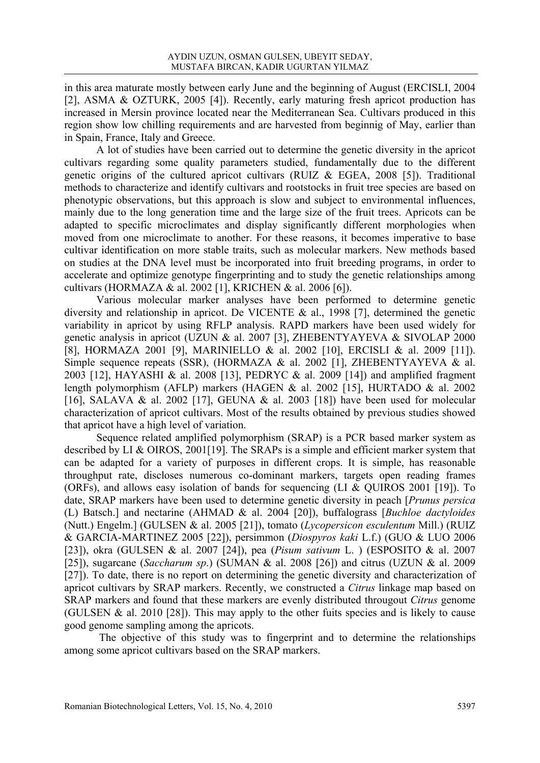in this area maturate mostly between early June and the beginning of August (ERCISLI, 2004 [2], ASMA & OZTURK, 2005 [4]). Recently, early maturing fresh apricot production has increased in Mersin province located near the Mediterranean Sea. Cultivars produced in this region show low chilling requirements and are harvested from beginnig of May, earlier than in Spain, France, Italy and Greece.

 A lot of studies have been carried out to determine the genetic diversity in the apricot cultivars regarding some quality parameters studied, fundamentally due to the different genetic origins of the cultured apricot cultivars (RUIZ & EGEA, 2008 [5]). Traditional methods to characterize and identify cultivars and rootstocks in fruit tree species are based on phenotypic observations, but this approach is slow and subject to environmental influences, mainly due to the long generation time and the large size of the fruit trees. Apricots can be adapted to specific microclimates and display significantly different morphologies when moved from one microclimate to another. For these reasons, it becomes imperative to base cultivar identification on more stable traits, such as molecular markers. New methods based on studies at the DNA level must be incorporated into fruit breeding programs, in order to accelerate and optimize genotype fingerprinting and to study the genetic relationships among cultivars (HORMAZA & al. 2002 [1], KRICHEN & al. 2006 [6]).

 Various molecular marker analyses have been performed to determine genetic diversity and relationship in apricot. De VICENTE & al., 1998 [7], determined the genetic variability in apricot by using RFLP analysis. RAPD markers have been used widely for genetic analysis in apricot (UZUN & al. 2007 [3], ZHEBENTYAYEVA & SIVOLAP 2000 [8], HORMAZA 2001 [9], MARINIELLO & al. 2002 [10], ERCISLI & al. 2009 [11]). Simple sequence repeats (SSR), (HORMAZA & al. 2002 [1], ZHEBENTYAYEVA & al. 2003 [12], HAYASHI & al. 2008 [13], PEDRYC & al. 2009 [14]) and amplified fragment length polymorphism (AFLP) markers (HAGEN & al. 2002 [15], HURTADO & al. 2002 [16], SALAVA & al. 2002 [17], GEUNA & al. 2003 [18]) have been used for molecular characterization of apricot cultivars. Most of the results obtained by previous studies showed that apricot have a high level of variation.

Sequence related amplified polymorphism (SRAP) is a PCR based marker system as described by LI & OIROS, 2001[19]. The SRAPs is a simple and efficient marker system that can be adapted for a variety of purposes in different crops. It is simple, has reasonable throughput rate, discloses numerous co-dominant markers, targets open reading frames (ORFs), and allows easy isolation of bands for sequencing (LI & QUIROS 2001 [19]). To date, SRAP markers have been used to determine genetic diversity in peach [*Prunus persica* (L) Batsch.] and nectarine (AHMAD & al. 2004 [20]), buffalograss [*Buchloe dactyloides* (Nutt.) Engelm.] (GULSEN & al. 2005 [21]), tomato (*Lycopersicon esculentum* Mill.) (RUIZ & GARCIA-MARTINEZ 2005 [22]), persimmon (*Diospyros kaki* L.f.) (GUO & LUO 2006 [23]), okra (GULSEN & al. 2007 [24]), pea (*Pisum sativum* L. ) (ESPOSITO & al. 2007 [25]), sugarcane (*Saccharum sp*.) (SUMAN & al. 2008 [26]) and citrus (UZUN & al. 2009 [27]). To date, there is no report on determining the genetic diversity and characterization of apricot cultivars by SRAP markers. Recently, we constructed a *Citrus* linkage map based on SRAP markers and found that these markers are evenly distributed througout *Citrus* genome (GULSEN & al. 2010 [28]). This may apply to the other fuits species and is likely to cause good genome sampling among the apricots.

 The objective of this study was to fingerprint and to determine the relationships among some apricot cultivars based on the SRAP markers.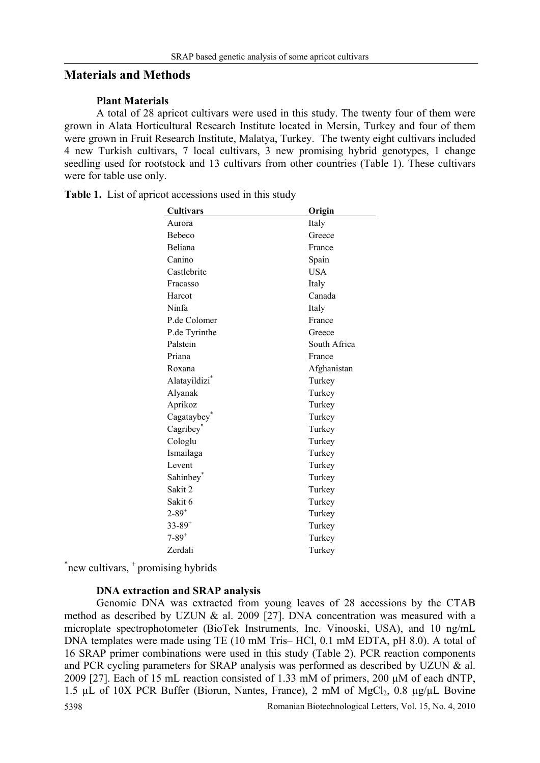## **Materials and Methods**

#### **Plant Materials**

A total of 28 apricot cultivars were used in this study. The twenty four of them were grown in Alata Horticultural Research Institute located in Mersin, Turkey and four of them were grown in Fruit Research Institute, Malatya, Turkey. The twenty eight cultivars included 4 new Turkish cultivars, 7 local cultivars, 3 new promising hybrid genotypes, 1 change seedling used for rootstock and 13 cultivars from other countries (Table 1). These cultivars were for table use only.

| <b>Cultivars</b>          | Origin       |
|---------------------------|--------------|
| Aurora                    | Italy        |
| Bebeco                    | Greece       |
| Beliana                   | France       |
| Canino                    | Spain        |
| Castlebrite               | <b>USA</b>   |
| Fracasso                  | Italy        |
| Harcot                    | Canada       |
| Ninfa                     | Italy        |
| P.de Colomer              | France       |
| P.de Tyrinthe             | Greece       |
| Palstein                  | South Africa |
| Priana                    | France       |
| Roxana                    | Afghanistan  |
| Alatayildizi <sup>*</sup> | Turkey       |
| Alyanak                   | Turkey       |
| Aprikoz                   | Turkey       |
| Cagataybey <sup>*</sup>   | Turkey       |
| Cagribey <sup>*</sup>     | Turkey       |
| Cologlu                   | Turkey       |
| Ismailaga                 | Turkey       |
| Levent                    | Turkey       |
| Sahinbey <sup>®</sup>     | Turkey       |
| Sakit 2                   | Turkey       |
| Sakit 6                   | Turkey       |
| $2 - 89^{+}$              | Turkey       |
| $33 - 89^{+}$             | Turkey       |
| $7 - 89$ <sup>+</sup>     | Turkey       |
| Zerdali                   | Turkey       |
|                           |              |

Table 1. List of apricot accessions used in this study

\*new cultivars, <sup>+</sup> promising hybrids

### **DNA extraction and SRAP analysis**

5398 Romanian Biotechnological Letters, Vol. 15, No. 4, 2010 Genomic DNA was extracted from young leaves of 28 accessions by the CTAB method as described by UZUN & al. 2009 [27]. DNA concentration was measured with a microplate spectrophotometer (BioTek Instruments, Inc. Vinooski, USA), and 10 ng/mL DNA templates were made using TE (10 mM Tris– HCl, 0.1 mM EDTA, pH 8.0). A total of 16 SRAP primer combinations were used in this study (Table 2). PCR reaction components and PCR cycling parameters for SRAP analysis was performed as described by UZUN & al. 2009 [27]. Each of 15 mL reaction consisted of 1.33 mM of primers, 200 µM of each dNTP, 1.5  $\mu$ L of 10X PCR Buffer (Biorun, Nantes, France), 2 mM of MgCl<sub>2</sub>, 0.8  $\mu$ g/ $\mu$ L Bovine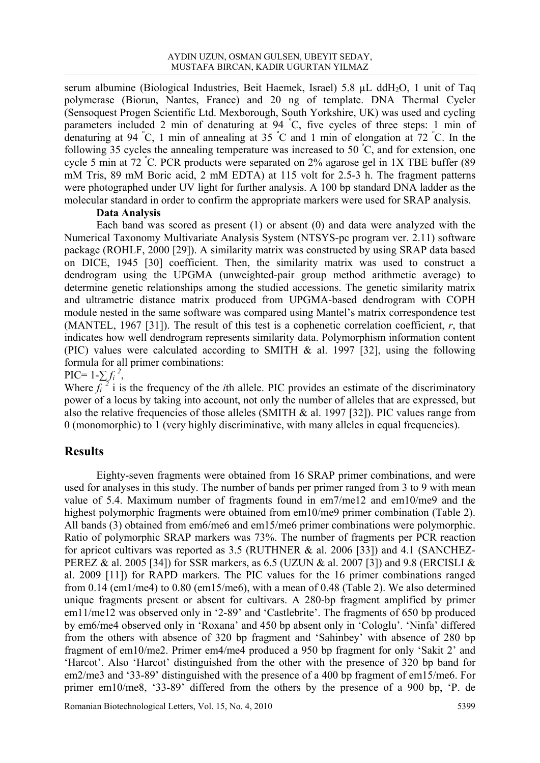serum albumine (Biological Industries, Beit Haemek, Israel) 5.8 µL ddH<sub>2</sub>O, 1 unit of Taq polymerase (Biorun, Nantes, France) and 20 ng of template. DNA Thermal Cycler (Sensoquest Progen Scientific Ltd. Mexborough, South Yorkshire, UK) was used and cycling parameters included 2 min of denaturing at 94 °C, five cycles of three steps: 1 min of denaturing at 94 <sup>º</sup> C, 1 min of annealing at 35 <sup>º</sup> C and 1 min of elongation at 72 <sup>º</sup> C. In the following 35 cycles the annealing temperature was increased to 50  $\degree$ C, and for extension, one cycle 5 min at 72 <sup>º</sup> C. PCR products were separated on 2% agarose gel in 1X TBE buffer (89 mM Tris, 89 mM Boric acid, 2 mM EDTA) at 115 volt for 2.5-3 h. The fragment patterns were photographed under UV light for further analysis. A 100 bp standard DNA ladder as the molecular standard in order to confirm the appropriate markers were used for SRAP analysis.

### **Data Analysis**

Each band was scored as present (1) or absent (0) and data were analyzed with the Numerical Taxonomy Multivariate Analysis System (NTSYS-pc program ver. 2.11) software package (ROHLF, 2000 [29]). A similarity matrix was constructed by using SRAP data based on DICE, 1945 [30] coefficient. Then, the similarity matrix was used to construct a dendrogram using the UPGMA (unweighted-pair group method arithmetic average) to determine genetic relationships among the studied accessions. The genetic similarity matrix and ultrametric distance matrix produced from UPGMA-based dendrogram with COPH module nested in the same software was compared using Mantel's matrix correspondence test (MANTEL, 1967 [31]). The result of this test is a cophenetic correlation coefficient, *r*, that indicates how well dendrogram represents similarity data. Polymorphism information content (PIC) values were calculated according to SMITH  $\&$  al. 1997 [32], using the following formula for all primer combinations:

 $\text{PIC} = 1 - \sum f_i^2$ ,

Where  $f_i^{\overline{2}}$  i is the frequency of the *i*th allele. PIC provides an estimate of the discriminatory power of a locus by taking into account, not only the number of alleles that are expressed, but also the relative frequencies of those alleles (SMITH  $\&$  al. 1997 [32]). PIC values range from 0 (monomorphic) to 1 (very highly discriminative, with many alleles in equal frequencies).

### **Results**

Eighty-seven fragments were obtained from 16 SRAP primer combinations, and were used for analyses in this study. The number of bands per primer ranged from 3 to 9 with mean value of 5.4. Maximum number of fragments found in em7/me12 and em10/me9 and the highest polymorphic fragments were obtained from em10/me9 primer combination (Table 2). All bands (3) obtained from em6/me6 and em15/me6 primer combinations were polymorphic. Ratio of polymorphic SRAP markers was 73%. The number of fragments per PCR reaction for apricot cultivars was reported as 3.5 (RUTHNER & al. 2006 [33]) and 4.1 (SANCHEZ-PEREZ & al. 2005 [34]) for SSR markers, as 6.5 (UZUN & al. 2007 [3]) and 9.8 (ERCISLI & al. 2009 [11]) for RAPD markers. The PIC values for the 16 primer combinations ranged from 0.14 (em1/me4) to 0.80 (em15/me6), with a mean of 0.48 (Table 2). We also determined unique fragments present or absent for cultivars. A 280-bp fragment amplified by primer em11/me12 was observed only in '2-89' and 'Castlebrite'. The fragments of 650 bp produced by em6/me4 observed only in 'Roxana' and 450 bp absent only in 'Cologlu'. 'Ninfa' differed from the others with absence of 320 bp fragment and 'Sahinbey' with absence of 280 bp fragment of em10/me2. Primer em4/me4 produced a 950 bp fragment for only 'Sakit 2' and 'Harcot'. Also 'Harcot' distinguished from the other with the presence of 320 bp band for em2/me3 and '33-89' distinguished with the presence of a 400 bp fragment of em15/me6. For primer em10/me8, '33-89' differed from the others by the presence of a 900 bp, 'P. de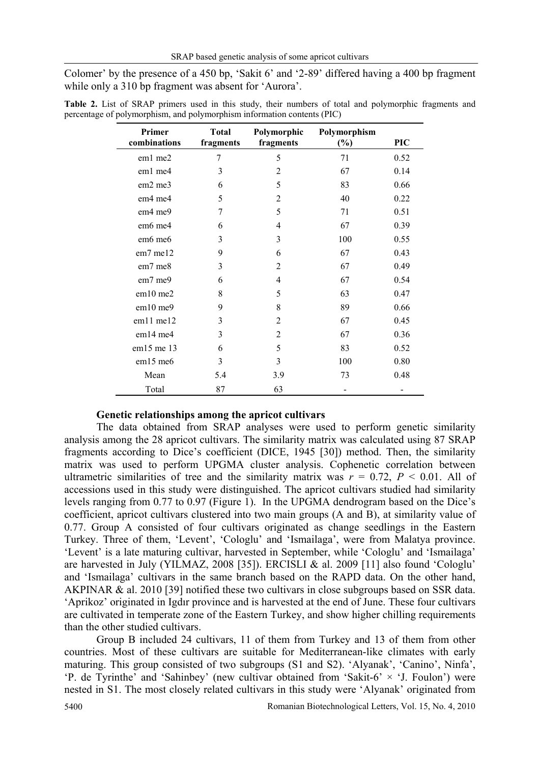Colomer' by the presence of a 450 bp, 'Sakit 6' and '2-89' differed having a 400 bp fragment while only a 310 bp fragment was absent for 'Aurora'.

| Primer<br>combinations          | <b>Total</b><br>fragments | Polymorphic<br>fragments | Polymorphism<br>$(\%)$ | <b>PIC</b> |
|---------------------------------|---------------------------|--------------------------|------------------------|------------|
| em1 me2                         | 7                         | 5                        | 71                     | 0.52       |
| em1 me4                         | 3                         | 2                        | 67                     | 0.14       |
| em2 me3                         | 6                         | 5                        | 83                     | 0.66       |
| em4 me4                         | 5                         | $\overline{2}$           | 40                     | 0.22       |
| em <sub>4</sub> me <sub>9</sub> | 7                         | 5                        | 71                     | 0.51       |
| em6 me4                         | 6                         | 4                        | 67                     | 0.39       |
| em6 me6                         | 3                         | 3                        | 100                    | 0.55       |
| $em7$ me12                      | 9                         | 6                        | 67                     | 0.43       |
| em7 me8                         | 3                         | $\overline{2}$           | 67                     | 0.49       |
| em7 me9                         | 6                         | 4                        | 67                     | 0.54       |
| $em10$ me2                      | 8                         | 5                        | 63                     | 0.47       |
| em10 me9                        | 9                         | 8                        | 89                     | 0.66       |
| $em11$ me $12$                  | 3                         | $\overline{2}$           | 67                     | 0.45       |
| em14 me4                        | 3                         | $\overline{2}$           | 67                     | 0.36       |
| em15 me 13                      | 6                         | 5                        | 83                     | 0.52       |
| $em15$ me <sub>6</sub>          | 3                         | 3                        | 100                    | 0.80       |
| Mean                            | 5.4                       | 3.9                      | 73                     | 0.48       |
| Total                           | 87                        | 63                       |                        |            |

**Table 2.** List of SRAP primers used in this study, their numbers of total and polymorphic fragments and percentage of polymorphism, and polymorphism information contents (PIC)

### **Genetic relationships among the apricot cultivars**

The data obtained from SRAP analyses were used to perform genetic similarity analysis among the 28 apricot cultivars. The similarity matrix was calculated using 87 SRAP fragments according to Dice's coefficient (DICE, 1945 [30]) method. Then, the similarity matrix was used to perform UPGMA cluster analysis. Cophenetic correlation between ultrametric similarities of tree and the similarity matrix was  $r = 0.72$ ,  $P < 0.01$ . All of accessions used in this study were distinguished. The apricot cultivars studied had similarity levels ranging from 0.77 to 0.97 (Figure 1). In the UPGMA dendrogram based on the Dice's coefficient, apricot cultivars clustered into two main groups (A and B), at similarity value of 0.77. Group A consisted of four cultivars originated as change seedlings in the Eastern Turkey. Three of them, 'Levent', 'Cologlu' and 'Ismailaga', were from Malatya province. 'Levent' is a late maturing cultivar, harvested in September, while 'Cologlu' and 'Ismailaga' are harvested in July (YILMAZ, 2008 [35]). ERCISLI & al. 2009 [11] also found 'Cologlu' and 'Ismailaga' cultivars in the same branch based on the RAPD data. On the other hand, AKPINAR & al. 2010 [39] notified these two cultivars in close subgroups based on SSR data. 'Aprikoz' originated in Igdır province and is harvested at the end of June. These four cultivars are cultivated in temperate zone of the Eastern Turkey, and show higher chilling requirements than the other studied cultivars.

Group B included 24 cultivars, 11 of them from Turkey and 13 of them from other countries. Most of these cultivars are suitable for Mediterranean-like climates with early maturing. This group consisted of two subgroups (S1 and S2). 'Alyanak', 'Canino', Ninfa', 'P. de Tyrinthe' and 'Sahinbey' (new cultivar obtained from 'Sakit-6' × 'J. Foulon') were nested in S1. The most closely related cultivars in this study were 'Alyanak' originated from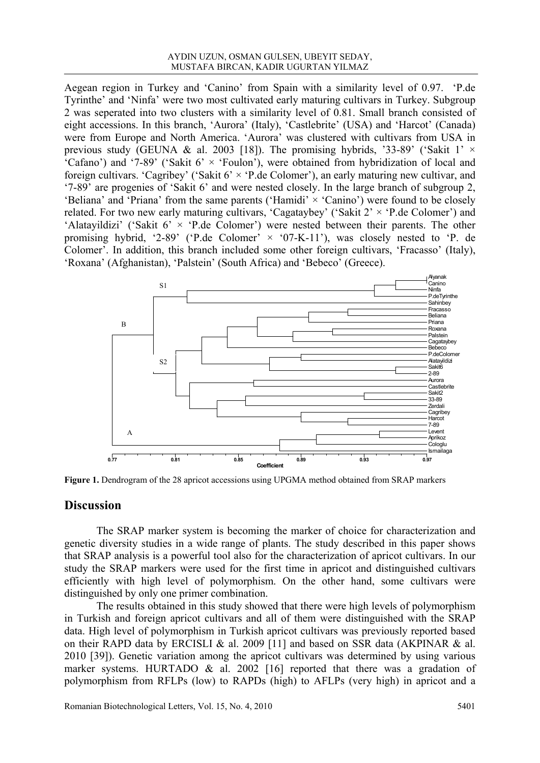Aegean region in Turkey and 'Canino' from Spain with a similarity level of 0.97. 'P.de Tyrinthe' and 'Ninfa' were two most cultivated early maturing cultivars in Turkey. Subgroup 2 was seperated into two clusters with a similarity level of 0.81. Small branch consisted of eight accessions. In this branch, 'Aurora' (Italy), 'Castlebrite' (USA) and 'Harcot' (Canada) were from Europe and North America. 'Aurora' was clustered with cultivars from USA in previous study (GEUNA & al. 2003 [18]). The promising hybrids, '33-89' ('Sakit 1'  $\times$ 'Cafano') and '7-89' ('Sakit  $6' \times$  'Foulon'), were obtained from hybridization of local and foreign cultivars. 'Cagribey' ('Sakit  $6' \times$  'P.de Colomer'), an early maturing new cultivar, and '7-89' are progenies of 'Sakit 6' and were nested closely. In the large branch of subgroup 2, 'Beliana' and 'Priana' from the same parents ('Hamidi'  $\times$  'Canino') were found to be closely related. For two new early maturing cultivars, 'Cagataybey' ('Sakit  $2' \times$  'P.de Colomer') and 'Alatayildizi' ('Sakit  $6' \times$  'P.de Colomer') were nested between their parents. The other promising hybrid, '2-89' ('P.de Colomer'  $\times$  '07-K-11'), was closely nested to 'P. de Colomer'. In addition, this branch included some other foreign cultivars, 'Fracasso' (Italy), 'Roxana' (Afghanistan), 'Palstein' (South Africa) and 'Bebeco' (Greece).



**Figure 1.** Dendrogram of the 28 apricot accessions using UPGMA method obtained from SRAP markers

### **Discussion**

The SRAP marker system is becoming the marker of choice for characterization and genetic diversity studies in a wide range of plants. The study described in this paper shows that SRAP analysis is a powerful tool also for the characterization of apricot cultivars. In our study the SRAP markers were used for the first time in apricot and distinguished cultivars efficiently with high level of polymorphism. On the other hand, some cultivars were distinguished by only one primer combination.

The results obtained in this study showed that there were high levels of polymorphism in Turkish and foreign apricot cultivars and all of them were distinguished with the SRAP data. High level of polymorphism in Turkish apricot cultivars was previously reported based on their RAPD data by ERCISLI & al. 2009 [11] and based on SSR data (AKPINAR & al. 2010 [39]). Genetic variation among the apricot cultivars was determined by using various marker systems. HURTADO & al. 2002 [16] reported that there was a gradation of polymorphism from RFLPs (low) to RAPDs (high) to AFLPs (very high) in apricot and a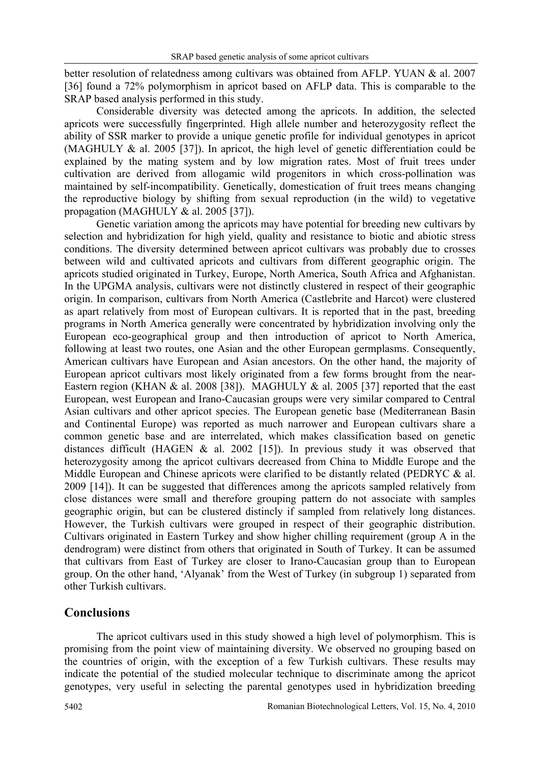better resolution of relatedness among cultivars was obtained from AFLP. YUAN & al. 2007 [36] found a 72% polymorphism in apricot based on AFLP data. This is comparable to the SRAP based analysis performed in this study.

Considerable diversity was detected among the apricots. In addition, the selected apricots were successfully fingerprinted. High allele number and heterozygosity reflect the ability of SSR marker to provide a unique genetic profile for individual genotypes in apricot (MAGHULY & al. 2005 [37]). In apricot, the high level of genetic differentiation could be explained by the mating system and by low migration rates. Most of fruit trees under cultivation are derived from allogamic wild progenitors in which cross-pollination was maintained by self-incompatibility. Genetically, domestication of fruit trees means changing the reproductive biology by shifting from sexual reproduction (in the wild) to vegetative propagation (MAGHULY & al. 2005 [37]).

Genetic variation among the apricots may have potential for breeding new cultivars by selection and hybridization for high yield, quality and resistance to biotic and abiotic stress conditions. The diversity determined between apricot cultivars was probably due to crosses between wild and cultivated apricots and cultivars from different geographic origin. The apricots studied originated in Turkey, Europe, North America, South Africa and Afghanistan. In the UPGMA analysis, cultivars were not distinctly clustered in respect of their geographic origin. In comparison, cultivars from North America (Castlebrite and Harcot) were clustered as apart relatively from most of European cultivars. It is reported that in the past, breeding programs in North America generally were concentrated by hybridization involving only the European eco-geographical group and then introduction of apricot to North America, following at least two routes, one Asian and the other European germplasms. Consequently, American cultivars have European and Asian ancestors. On the other hand, the majority of European apricot cultivars most likely originated from a few forms brought from the near-Eastern region (KHAN  $&$  al. 2008 [38]). MAGHULY  $&$  al. 2005 [37] reported that the east European, west European and Irano-Caucasian groups were very similar compared to Central Asian cultivars and other apricot species. The European genetic base (Mediterranean Basin and Continental Europe) was reported as much narrower and European cultivars share a common genetic base and are interrelated, which makes classification based on genetic distances difficult (HAGEN  $&$  al. 2002 [15]). In previous study it was observed that heterozygosity among the apricot cultivars decreased from China to Middle Europe and the Middle European and Chinese apricots were clarified to be distantly related (PEDRYC & al. 2009 [14]). It can be suggested that differences among the apricots sampled relatively from close distances were small and therefore grouping pattern do not associate with samples geographic origin, but can be clustered distincly if sampled from relatively long distances. However, the Turkish cultivars were grouped in respect of their geographic distribution. Cultivars originated in Eastern Turkey and show higher chilling requirement (group A in the dendrogram) were distinct from others that originated in South of Turkey. It can be assumed that cultivars from East of Turkey are closer to Irano-Caucasian group than to European group. On the other hand, 'Alyanak' from the West of Turkey (in subgroup 1) separated from other Turkish cultivars.

# **Conclusions**

The apricot cultivars used in this study showed a high level of polymorphism. This is promising from the point view of maintaining diversity. We observed no grouping based on the countries of origin, with the exception of a few Turkish cultivars. These results may indicate the potential of the studied molecular technique to discriminate among the apricot genotypes, very useful in selecting the parental genotypes used in hybridization breeding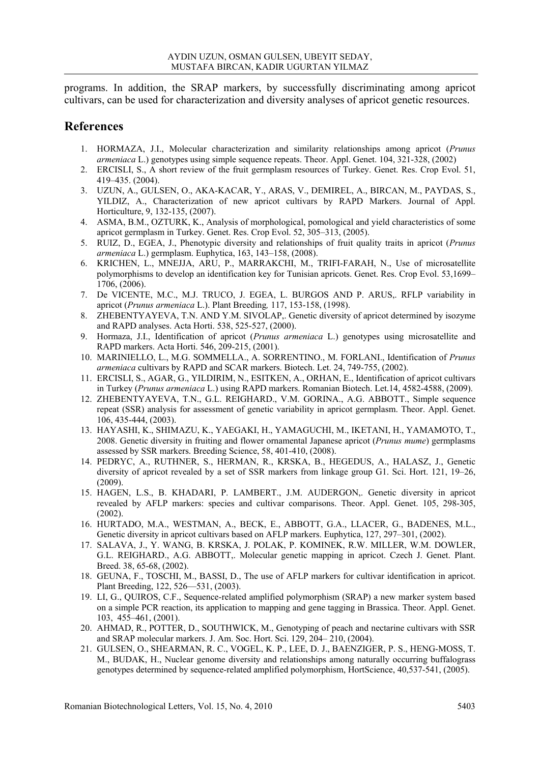programs. In addition, the SRAP markers, by successfully discriminating among apricot cultivars, can be used for characterization and diversity analyses of apricot genetic resources.

## **References**

- 1. HORMAZA, J.I., Molecular characterization and similarity relationships among apricot (*Prunus armeniaca* L.) genotypes using simple sequence repeats. Theor. Appl. Genet. 104, 321-328, (2002)
- 2. ERCISLI, S., A short review of the fruit germplasm resources of Turkey. Genet. Res. Crop Evol. 51, 419–435. (2004).
- 3. UZUN, A., GULSEN, O., AKA-KACAR, Y., ARAS, V., DEMIREL, A., BIRCAN, M., PAYDAS, S., YILDIZ, A., Characterization of new apricot cultivars by RAPD Markers. Journal of Appl. Horticulture, 9, 132-135, (2007).
- 4. ASMA, B.M., OZTURK, K., Analysis of morphological, pomological and yield characteristics of some apricot germplasm in Turkey. Genet. Res. Crop Evol. 52, 305–313, (2005).
- 5. RUIZ, D., EGEA, J., Phenotypic diversity and relationships of fruit quality traits in apricot (*Prunus armeniaca* L.) germplasm. Euphytica, 163, 143–158, (2008).
- 6. KRICHEN, L., MNEJJA, ARU, P., MARRAKCHI, M., TRIFI-FARAH, N., Use of microsatellite polymorphisms to develop an identification key for Tunisian apricots. Genet. Res. Crop Evol. 53,1699– 1706, (2006).
- 7. De VICENTE, M.C., M.J. TRUCO, J. EGEA, L. BURGOS AND P. ARUS,. RFLP variability in apricot (*Prunus armeniaca* L.). Plant Breeding*,* 117, 153-158, (1998).
- 8. ZHEBENTYAYEVA, T.N. AND Y.M. SIVOLAP,. Genetic diversity of apricot determined by isozyme and RAPD analyses. Acta Horti. 538, 525-527, (2000).
- 9. Hormaza, J.I., Identification of apricot (*Prunus armeniaca* L.) genotypes using microsatellite and RAPD markers. Acta Horti. 546, 209-215, (2001).
- 10. MARINIELLO, L., M.G. SOMMELLA., A. SORRENTINO., M. FORLANI., Identification of *Prunus armeniaca* cultivars by RAPD and SCAR markers. Biotech. Let. 24, 749-755, (2002).
- 11. ERCISLI, S., AGAR, G., YILDIRIM, N., ESITKEN, A., ORHAN, E., Identification of apricot cultivars in Turkey (*Prunus armeniaca* L.) using RAPD markers. Romanian Biotech. Let.14, 4582-4588, (2009).
- 12. ZHEBENTYAYEVA, T.N., G.L. REIGHARD., V.M. GORINA., A.G. ABBOTT., Simple sequence repeat (SSR) analysis for assessment of genetic variability in apricot germplasm. Theor. Appl. Genet. 106, 435-444, (2003).
- 13. HAYASHI, K., SHIMAZU, K., YAEGAKI, H., YAMAGUCHI, M., IKETANI, H., YAMAMOTO, T., 2008. Genetic diversity in fruiting and flower ornamental Japanese apricot (*Prunus mume*) germplasms assessed by SSR markers. Breeding Science, 58, 401-410, (2008).
- 14. PEDRYC, A., RUTHNER, S., HERMAN, R., KRSKA, B., HEGEDUS, A., HALASZ, J., Genetic diversity of apricot revealed by a set of SSR markers from linkage group G1. Sci. Hort. 121, 19–26, (2009).
- 15. HAGEN, L.S., B. KHADARI, P. LAMBERT., J.M. AUDERGON,. Genetic diversity in apricot revealed by AFLP markers: species and cultivar comparisons. Theor. Appl. Genet. 105, 298-305, (2002).
- 16. HURTADO, M.A., WESTMAN, A., BECK, E., ABBOTT, G.A., LLACER, G., BADENES, M.L., Genetic diversity in apricot cultivars based on AFLP markers. Euphytica, 127, 297–301, (2002).
- 17. SALAVA, J., Y. WANG, B. KRSKA, J. POLAK, P. KOMINEK, R.W. MILLER, W.M. DOWLER, G.L. REIGHARD., A.G. ABBOTT,. Molecular genetic mapping in apricot. Czech J. Genet. Plant. Breed. 38, 65-68, (2002).
- 18. GEUNA, F., TOSCHI, M., BASSI, D., The use of AFLP markers for cultivar identification in apricot. Plant Breeding, 122, 526—531, (2003).
- 19. LI, G., QUIROS, C.F., Sequence-related amplified polymorphism (SRAP) a new marker system based on a simple PCR reaction, its application to mapping and gene tagging in Brassica. Theor. Appl. Genet. 103, 455–461, (2001).
- 20. AHMAD, R., POTTER, D., SOUTHWICK, M., Genotyping of peach and nectarine cultivars with SSR and SRAP molecular markers. J. Am. Soc. Hort. Sci. 129, 204– 210, (2004).
- 21. GULSEN, O., SHEARMAN, R. C., VOGEL, K. P., LEE, D. J., BAENZIGER, P. S., HENG-MOSS, T. M., BUDAK, H., Nuclear genome diversity and relationships among naturally occurring buffalograss genotypes determined by sequence-related amplified polymorphism, HortScience, 40,537-541, (2005).